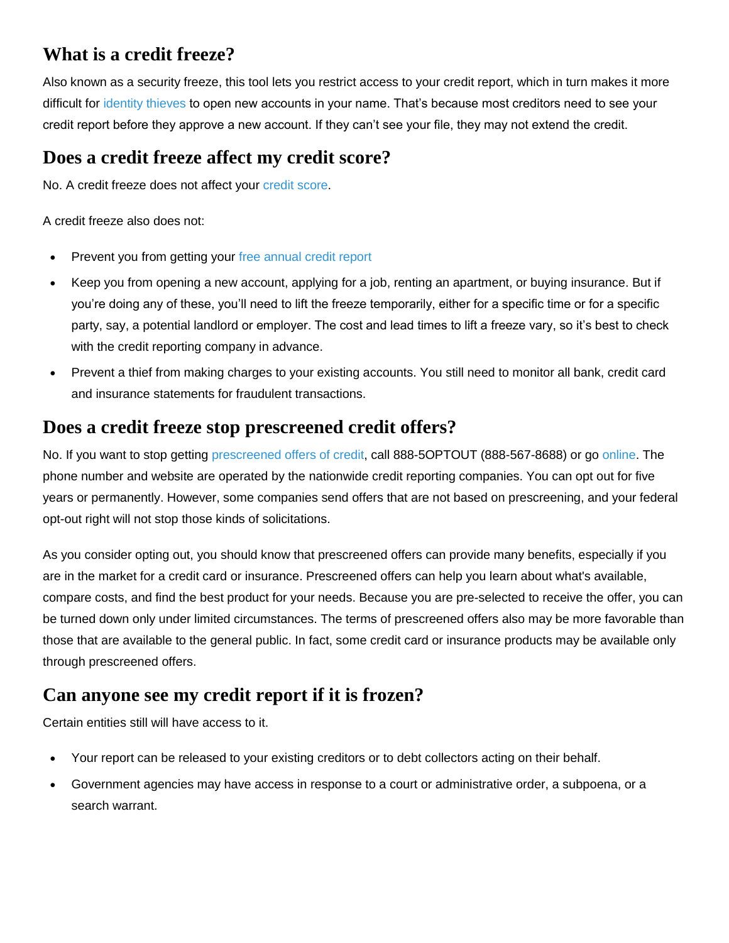# **What is a credit freeze?**

Also known as a security freeze, this tool lets you restrict access to your credit report, which in turn makes it more difficult for [identity thieves](https://www.consumer.ftc.gov/features/feature-0014-identity-theft) to open new accounts in your name. That's because most creditors need to see your credit report before they approve a new account. If they can't see your file, they may not extend the credit.

#### **Does a credit freeze affect my credit score?**

No. A credit freeze does not affect your [credit score.](https://www.consumer.ftc.gov/articles/0152-how-credit-scores-affect-price-credit-and-insurance)

A credit freeze also does not:

- Prevent you from getting your [free annual credit report](http://www.annualcreditreport.com/)
- Keep you from opening a new account, applying for a job, renting an apartment, or buying insurance. But if you're doing any of these, you'll need to lift the freeze temporarily, either for a specific time or for a specific party, say, a potential landlord or employer. The cost and lead times to lift a freeze vary, so it's best to check with the credit reporting company in advance.
- Prevent a thief from making charges to your existing accounts. You still need to monitor all bank, credit card and insurance statements for fraudulent transactions.

#### **Does a credit freeze stop prescreened credit offers?**

No. If you want to stop getting [prescreened offers of credit,](https://www.consumer.ftc.gov/articles/0148-prescreened-credit-and-insurance-offers) call 888-5OPTOUT (888-567-8688) or go [online.](https://www.optoutprescreen.com/?rf=t) The phone number and website are operated by the nationwide credit reporting companies. You can opt out for five years or permanently. However, some companies send offers that are not based on prescreening, and your federal opt-out right will not stop those kinds of solicitations.

As you consider opting out, you should know that prescreened offers can provide many benefits, especially if you are in the market for a credit card or insurance. Prescreened offers can help you learn about what's available, compare costs, and find the best product for your needs. Because you are pre-selected to receive the offer, you can be turned down only under limited circumstances. The terms of prescreened offers also may be more favorable than those that are available to the general public. In fact, some credit card or insurance products may be available only through prescreened offers.

# **Can anyone see my credit report if it is frozen?**

Certain entities still will have access to it.

- Your report can be released to your existing creditors or to debt collectors acting on their behalf.
- Government agencies may have access in response to a court or administrative order, a subpoena, or a search warrant.